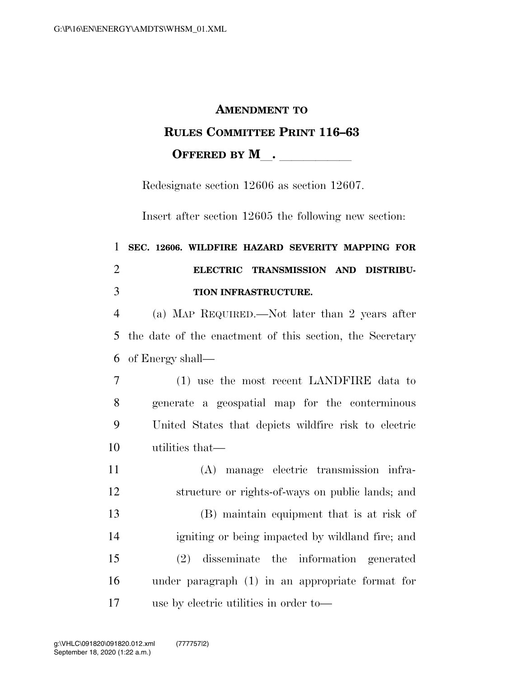## **AMENDMENT TO RULES COMMITTEE PRINT 116–63 OFFERED BY M**.

Redesignate section 12606 as section 12607.

Insert after section 12605 the following new section:

## **SEC. 12606. WILDFIRE HAZARD SEVERITY MAPPING FOR ELECTRIC TRANSMISSION AND DISTRIBU-TION INFRASTRUCTURE.**

 (a) MAP REQUIRED.—Not later than 2 years after the date of the enactment of this section, the Secretary of Energy shall—

 (1) use the most recent LANDFIRE data to generate a geospatial map for the conterminous United States that depicts wildfire risk to electric utilities that—

 (A) manage electric transmission infra- structure or rights-of-ways on public lands; and (B) maintain equipment that is at risk of igniting or being impacted by wildland fire; and (2) disseminate the information generated under paragraph (1) in an appropriate format for use by electric utilities in order to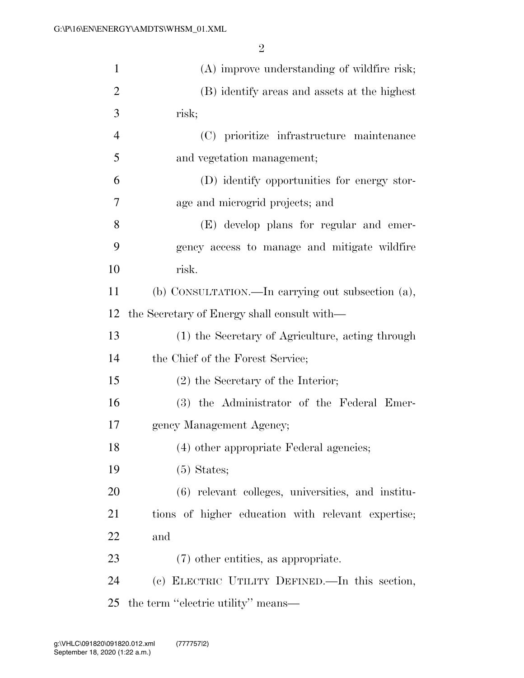| $\mathbf{1}$   | (A) improve understanding of wildfire risk;         |
|----------------|-----------------------------------------------------|
| $\overline{c}$ | (B) identify areas and assets at the highest        |
| 3              | risk;                                               |
| 4              | (C) prioritize infrastructure maintenance           |
| 5              | and vegetation management;                          |
| 6              | (D) identify opportunities for energy stor-         |
| 7              | age and microgrid projects; and                     |
| 8              | (E) develop plans for regular and emer-             |
| 9              | gency access to manage and mitigate wildfire        |
| 10             | risk.                                               |
| 11             | (b) CONSULTATION.—In carrying out subsection (a),   |
| 12             | the Secretary of Energy shall consult with—         |
| 13             | (1) the Secretary of Agriculture, acting through    |
| 14             | the Chief of the Forest Service;                    |
| 15             | $(2)$ the Secretary of the Interior;                |
| 16             | (3) the Administrator of the Federal Emer-          |
| 17             | gency Management Agency;                            |
| 18             | (4) other appropriate Federal agencies;             |
| 19             | $(5)$ States;                                       |
| 20             | $(6)$ relevant colleges, universities, and institu- |
| 21             | tions of higher education with relevant expertise;  |
| 22             | and                                                 |
| 23             | (7) other entities, as appropriate.                 |
| 24             | (c) ELECTRIC UTILITY DEFINED.—In this section,      |
| 25             | the term "electric utility" means—                  |